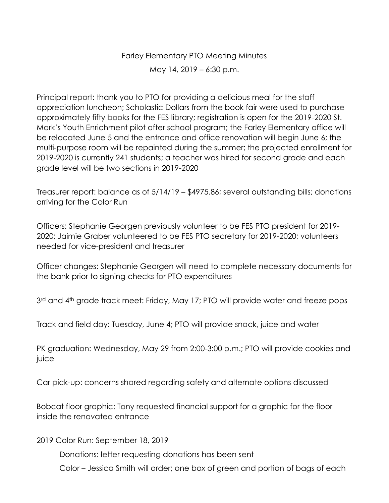Farley Elementary PTO Meeting Minutes May 14, 2019 – 6:30 p.m.

Principal report: thank you to PTO for providing a delicious meal for the staff appreciation luncheon; Scholastic Dollars from the book fair were used to purchase approximately fifty books for the FES library; registration is open for the 2019-2020 St. Mark's Youth Enrichment pilot after school program; the Farley Elementary office will be relocated June 5 and the entrance and office renovation will begin June 6; the multi-purpose room will be repainted during the summer; the projected enrollment for 2019-2020 is currently 241 students; a teacher was hired for second grade and each grade level will be two sections in 2019-2020

Treasurer report: balance as of 5/14/19 – \$4975.86; several outstanding bills; donations arriving for the Color Run

Officers: Stephanie Georgen previously volunteer to be FES PTO president for 2019- 2020; Jaimie Graber volunteered to be FES PTO secretary for 2019-2020; volunteers needed for vice-president and treasurer

Officer changes: Stephanie Georgen will need to complete necessary documents for the bank prior to signing checks for PTO expenditures

3<sup>rd</sup> and 4<sup>th</sup> grade track meet: Friday, May 17; PTO will provide water and freeze pops

Track and field day: Tuesday, June 4; PTO will provide snack, juice and water

PK graduation: Wednesday, May 29 from 2:00-3:00 p.m.; PTO will provide cookies and juice

Car pick-up: concerns shared regarding safety and alternate options discussed

Bobcat floor graphic: Tony requested financial support for a graphic for the floor inside the renovated entrance

2019 Color Run: September 18, 2019

Donations: letter requesting donations has been sent

Color – Jessica Smith will order; one box of green and portion of bags of each